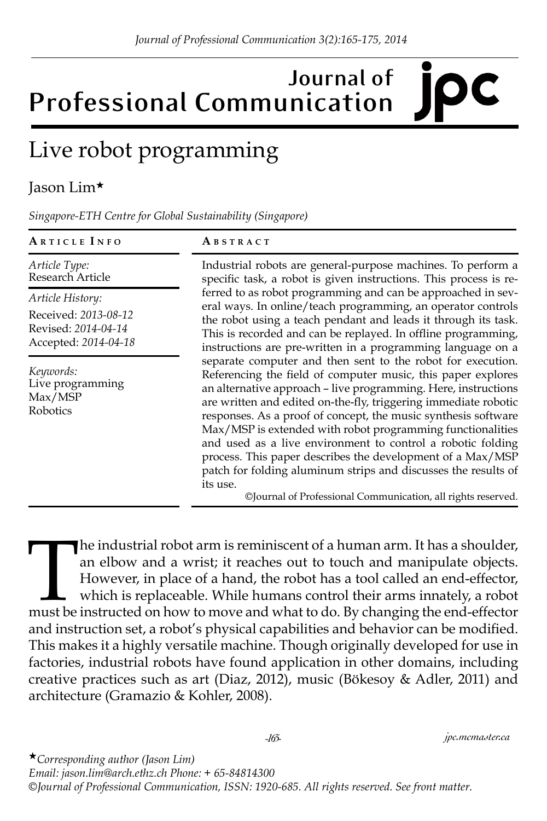# **Journal of Professional Communication**

## Live robot programming

#### Jason Lim★

*Singapore-ETH Centre for Global Sustainability (Singapore)*

| ARTICLE INFO                                                        | ABSTRACT                                                                                                                                                                                                                                                                                                                                                                                                                                                                                                                                                                                                                                                                                                                                                                                                                                                                                                                                                                                                                                                                           |
|---------------------------------------------------------------------|------------------------------------------------------------------------------------------------------------------------------------------------------------------------------------------------------------------------------------------------------------------------------------------------------------------------------------------------------------------------------------------------------------------------------------------------------------------------------------------------------------------------------------------------------------------------------------------------------------------------------------------------------------------------------------------------------------------------------------------------------------------------------------------------------------------------------------------------------------------------------------------------------------------------------------------------------------------------------------------------------------------------------------------------------------------------------------|
| Article Type:<br>Research Article                                   | Industrial robots are general-purpose machines. To perform a<br>specific task, a robot is given instructions. This process is re-<br>ferred to as robot programming and can be approached in sev-<br>eral ways. In online/teach programming, an operator controls<br>the robot using a teach pendant and leads it through its task.<br>This is recorded and can be replayed. In offline programming,<br>instructions are pre-written in a programming language on a<br>separate computer and then sent to the robot for execution.<br>Referencing the field of computer music, this paper explores<br>an alternative approach - live programming. Here, instructions<br>are written and edited on-the-fly, triggering immediate robotic<br>responses. As a proof of concept, the music synthesis software<br>Max/MSP is extended with robot programming functionalities<br>and used as a live environment to control a robotic folding<br>process. This paper describes the development of a Max/MSP<br>patch for folding aluminum strips and discusses the results of<br>its use. |
| Article History:                                                    |                                                                                                                                                                                                                                                                                                                                                                                                                                                                                                                                                                                                                                                                                                                                                                                                                                                                                                                                                                                                                                                                                    |
| Received: 2013-08-12<br>Revised: 2014-04-14<br>Accepted: 2014-04-18 |                                                                                                                                                                                                                                                                                                                                                                                                                                                                                                                                                                                                                                                                                                                                                                                                                                                                                                                                                                                                                                                                                    |
| Keywords:<br>Live programming<br>Max/MSP<br>Robotics                |                                                                                                                                                                                                                                                                                                                                                                                                                                                                                                                                                                                                                                                                                                                                                                                                                                                                                                                                                                                                                                                                                    |

The industrial robot arm is reminiscent of a human arm. It has a shoulder, an elbow and a wrist; it reaches out to touch and manipulate objects. However, in place of a hand, the robot has a tool called an end-effector, whi an elbow and a wrist; it reaches out to touch and manipulate objects. However, in place of a hand, the robot has a tool called an end-effector, which is replaceable. While humans control their arms innately, a robot must be instructed on how to move and what to do. By changing the end-effector and instruction set, a robot's physical capabilities and behavior can be modified. This makes it a highly versatile machine. Though originally developed for use in factories, industrial robots have found application in other domains, including creative practices such as art (Diaz, 2012), music (Bökesoy & Adler, 2011) and architecture (Gramazio & Kohler, 2008).

★*Corresponding author (Jason Lim) Email: jason.lim@arch.ethz.ch Phone: + 65-84814300 ©Journal of Professional Communication, ISSN: 1920-685. All rights reserved. See front matter.*

*-165- jpc.mcmaster.ca*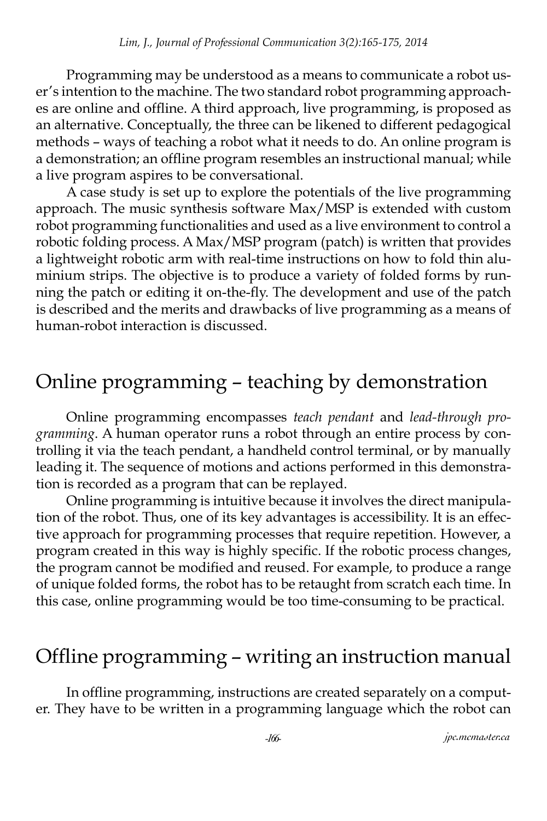Programming may be understood as a means to communicate a robot user's intention to the machine. The two standard robot programming approaches are online and offline. A third approach, live programming, is proposed as an alternative. Conceptually, the three can be likened to different pedagogical methods – ways of teaching a robot what it needs to do. An online program is a demonstration; an offline program resembles an instructional manual; while a live program aspires to be conversational.

A case study is set up to explore the potentials of the live programming approach. The music synthesis software Max/MSP is extended with custom robot programming functionalities and used as a live environment to control a robotic folding process. A Max/MSP program (patch) is written that provides a lightweight robotic arm with real-time instructions on how to fold thin aluminium strips. The objective is to produce a variety of folded forms by running the patch or editing it on-the-fly. The development and use of the patch is described and the merits and drawbacks of live programming as a means of human-robot interaction is discussed.

#### Online programming – teaching by demonstration

Online programming encompasses *teach pendant* and *lead-through programming*. A human operator runs a robot through an entire process by controlling it via the teach pendant, a handheld control terminal, or by manually leading it. The sequence of motions and actions performed in this demonstration is recorded as a program that can be replayed.

Online programming is intuitive because it involves the direct manipulation of the robot. Thus, one of its key advantages is accessibility. It is an effective approach for programming processes that require repetition. However, a program created in this way is highly specific. If the robotic process changes, the program cannot be modified and reused. For example, to produce a range of unique folded forms, the robot has to be retaught from scratch each time. In this case, online programming would be too time-consuming to be practical.

#### Offline programming – writing an instruction manual

In offline programming, instructions are created separately on a computer. They have to be written in a programming language which the robot can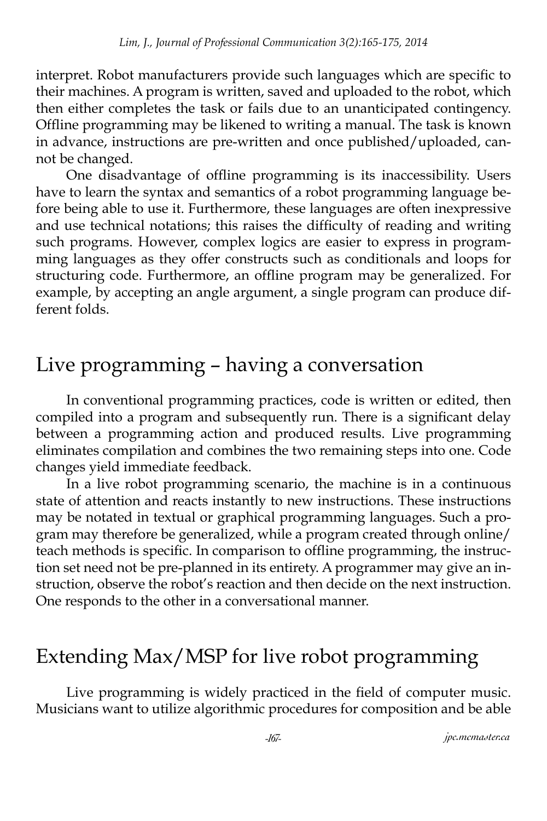interpret. Robot manufacturers provide such languages which are specific to their machines. A program is written, saved and uploaded to the robot, which then either completes the task or fails due to an unanticipated contingency. Offline programming may be likened to writing a manual. The task is known in advance, instructions are pre-written and once published/uploaded, cannot be changed.

One disadvantage of offline programming is its inaccessibility. Users have to learn the syntax and semantics of a robot programming language before being able to use it. Furthermore, these languages are often inexpressive and use technical notations; this raises the difficulty of reading and writing such programs. However, complex logics are easier to express in programming languages as they offer constructs such as conditionals and loops for structuring code. Furthermore, an offline program may be generalized. For example, by accepting an angle argument, a single program can produce different folds.

#### Live programming – having a conversation

In conventional programming practices, code is written or edited, then compiled into a program and subsequently run. There is a significant delay between a programming action and produced results. Live programming eliminates compilation and combines the two remaining steps into one. Code changes yield immediate feedback.

In a live robot programming scenario, the machine is in a continuous state of attention and reacts instantly to new instructions. These instructions may be notated in textual or graphical programming languages. Such a program may therefore be generalized, while a program created through online/ teach methods is specific. In comparison to offline programming, the instruction set need not be pre-planned in its entirety. A programmer may give an instruction, observe the robot's reaction and then decide on the next instruction. One responds to the other in a conversational manner.

#### Extending Max/MSP for live robot programming

Live programming is widely practiced in the field of computer music. Musicians want to utilize algorithmic procedures for composition and be able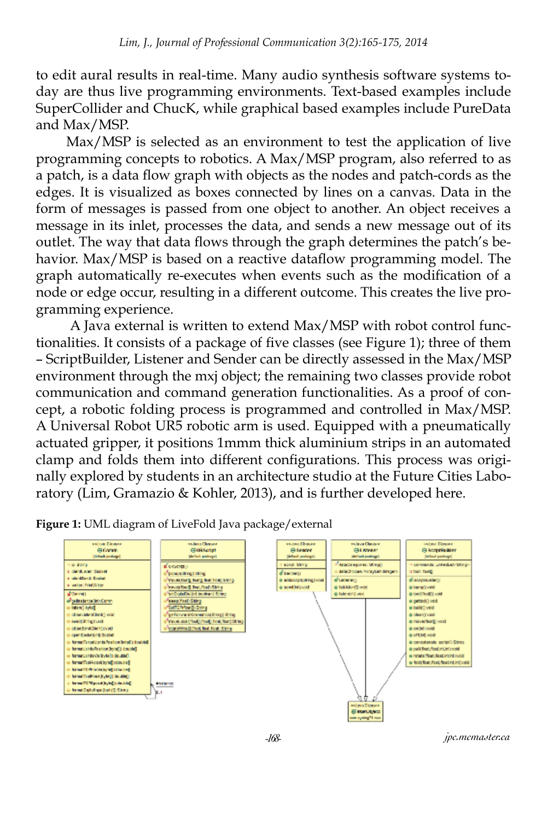to edit aural results in real-time. Many audio synthesis software systems today are thus live programming environments. Text-based examples include SuperCollider and ChucK, while graphical based examples include PureData and Max/MSP.

Max/MSP is selected as an environment to test the application of live programming concepts to robotics. A Max/MSP program, also referred to as a patch, is a data flow graph with objects as the nodes and patch-cords as the edges. It is visualized as boxes connected by lines on a canvas. Data in the form of messages is passed from one object to another. An object receives a message in its inlet, processes the data, and sends a new message out of its outlet. The way that data flows through the graph determines the patch's behavior. Max/MSP is based on a reactive dataflow programming model. The graph automatically re-executes when events such as the modification of a node or edge occur, resulting in a different outcome. This creates the live programming experience.

 A Java external is written to extend Max/MSP with robot control functionalities. It consists of a package of five classes (see Figure 1); three of them – ScriptBuilder, Listener and Sender can be directly assessed in the Max/MSP environment through the mxj object; the remaining two classes provide robot communication and command generation functionalities. As a proof of concept, a robotic folding process is programmed and controlled in Max/MSP. A Universal Robot UR5 robotic arm is used. Equipped with a pneumatically actuated gripper, it positions 1mmm thick aluminium strips in an automated clamp and folds them into different configurations. This process was originally explored by students in an architecture studio at the Future Cities Laboratory (Lim, Gramazio & Kohler, 2013), and is further developed here.



**Figure 1:** UML diagram of LiveFold Java package/external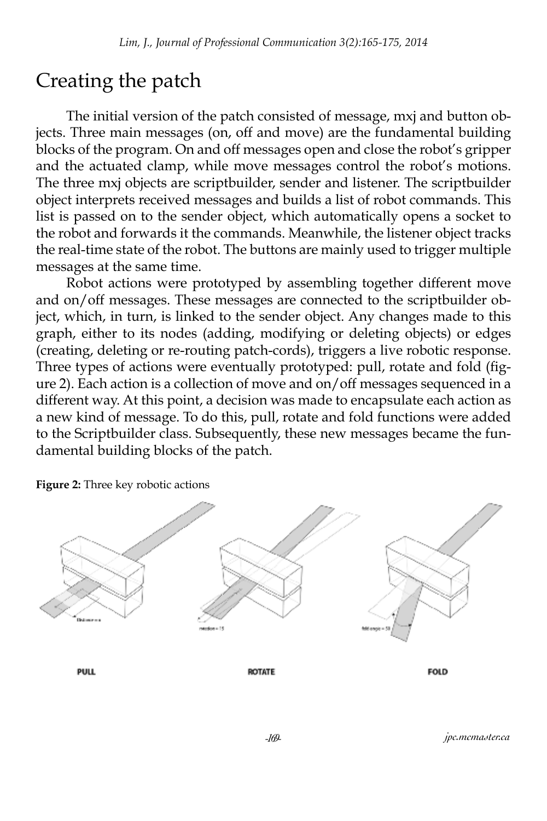#### Creating the patch

The initial version of the patch consisted of message, mxj and button objects. Three main messages (on, off and move) are the fundamental building blocks of the program. On and off messages open and close the robot's gripper and the actuated clamp, while move messages control the robot's motions. The three mxj objects are scriptbuilder, sender and listener. The scriptbuilder object interprets received messages and builds a list of robot commands. This list is passed on to the sender object, which automatically opens a socket to the robot and forwards it the commands. Meanwhile, the listener object tracks the real-time state of the robot. The buttons are mainly used to trigger multiple messages at the same time.

Robot actions were prototyped by assembling together different move and on/off messages. These messages are connected to the scriptbuilder object, which, in turn, is linked to the sender object. Any changes made to this graph, either to its nodes (adding, modifying or deleting objects) or edges (creating, deleting or re-routing patch-cords), triggers a live robotic response. Three types of actions were eventually prototyped: pull, rotate and fold (figure 2). Each action is a collection of move and on/off messages sequenced in a different way. At this point, a decision was made to encapsulate each action as a new kind of message. To do this, pull, rotate and fold functions were added to the Scriptbuilder class. Subsequently, these new messages became the fundamental building blocks of the patch.

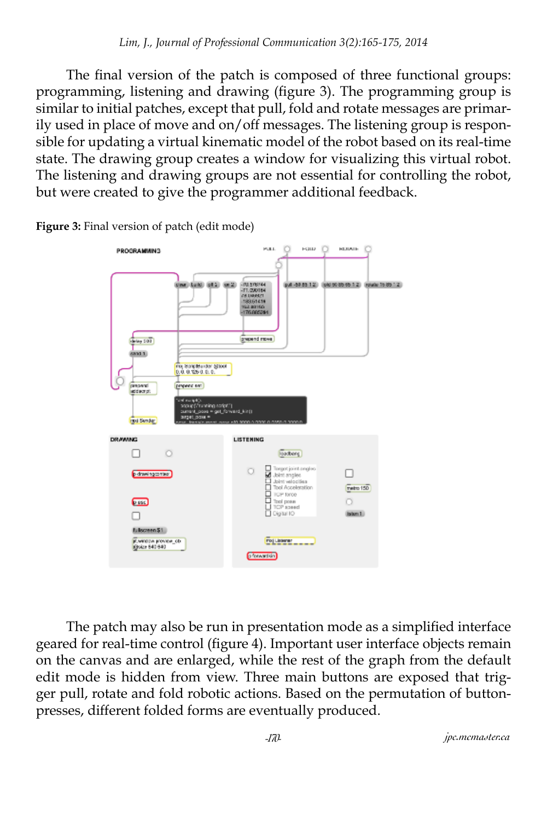The final version of the patch is composed of three functional groups: programming, listening and drawing (figure 3). The programming group is similar to initial patches, except that pull, fold and rotate messages are primarily used in place of move and on/off messages. The listening group is responsible for updating a virtual kinematic model of the robot based on its real-time state. The drawing group creates a window for visualizing this virtual robot. The listening and drawing groups are not essential for controlling the robot, but were created to give the programmer additional feedback.



**Figure 3:** Final version of patch (edit mode)

The patch may also be run in presentation mode as a simplified interface geared for real-time control (figure 4). Important user interface objects remain on the canvas and are enlarged, while the rest of the graph from the default edit mode is hidden from view. Three main buttons are exposed that trigger pull, rotate and fold robotic actions. Based on the permutation of buttonpresses, different folded forms are eventually produced.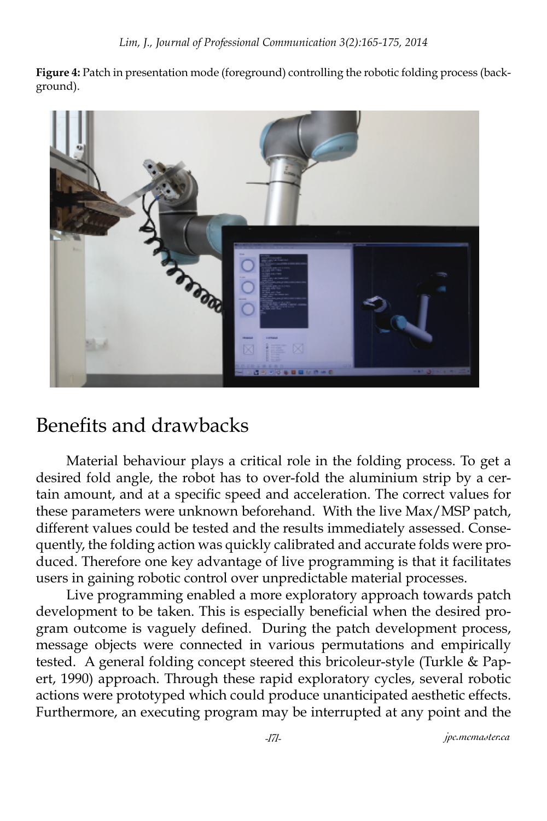**Figure 4:** Patch in presentation mode (foreground) controlling the robotic folding process (background).



#### Benefits and drawbacks

Material behaviour plays a critical role in the folding process. To get a desired fold angle, the robot has to over-fold the aluminium strip by a certain amount, and at a specific speed and acceleration. The correct values for these parameters were unknown beforehand. With the live Max/MSP patch, different values could be tested and the results immediately assessed. Consequently, the folding action was quickly calibrated and accurate folds were produced. Therefore one key advantage of live programming is that it facilitates users in gaining robotic control over unpredictable material processes.

Live programming enabled a more exploratory approach towards patch development to be taken. This is especially beneficial when the desired program outcome is vaguely defined. During the patch development process, message objects were connected in various permutations and empirically tested. A general folding concept steered this bricoleur-style (Turkle & Papert, 1990) approach. Through these rapid exploratory cycles, several robotic actions were prototyped which could produce unanticipated aesthetic effects. Furthermore, an executing program may be interrupted at any point and the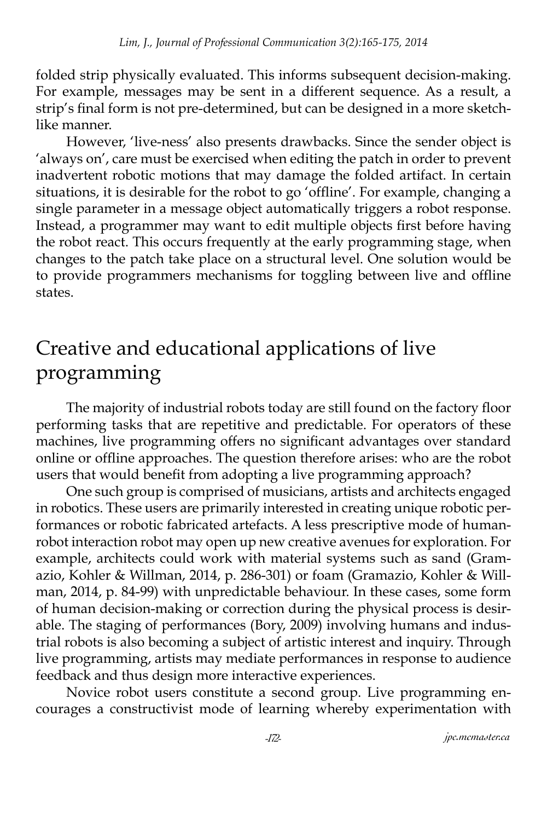folded strip physically evaluated. This informs subsequent decision-making. For example, messages may be sent in a different sequence. As a result, a strip's final form is not pre-determined, but can be designed in a more sketchlike manner.

However, 'live-ness' also presents drawbacks. Since the sender object is 'always on', care must be exercised when editing the patch in order to prevent inadvertent robotic motions that may damage the folded artifact. In certain situations, it is desirable for the robot to go 'offline'. For example, changing a single parameter in a message object automatically triggers a robot response. Instead, a programmer may want to edit multiple objects first before having the robot react. This occurs frequently at the early programming stage, when changes to the patch take place on a structural level. One solution would be to provide programmers mechanisms for toggling between live and offline states.

#### Creative and educational applications of live programming

The majority of industrial robots today are still found on the factory floor performing tasks that are repetitive and predictable. For operators of these machines, live programming offers no significant advantages over standard online or offline approaches. The question therefore arises: who are the robot users that would benefit from adopting a live programming approach?

One such group is comprised of musicians, artists and architects engaged in robotics. These users are primarily interested in creating unique robotic performances or robotic fabricated artefacts. A less prescriptive mode of humanrobot interaction robot may open up new creative avenues for exploration. For example, architects could work with material systems such as sand (Gramazio, Kohler & Willman, 2014, p. 286-301) or foam (Gramazio, Kohler & Willman, 2014, p. 84-99) with unpredictable behaviour. In these cases, some form of human decision-making or correction during the physical process is desirable. The staging of performances (Bory, 2009) involving humans and industrial robots is also becoming a subject of artistic interest and inquiry. Through live programming, artists may mediate performances in response to audience feedback and thus design more interactive experiences.

Novice robot users constitute a second group. Live programming encourages a constructivist mode of learning whereby experimentation with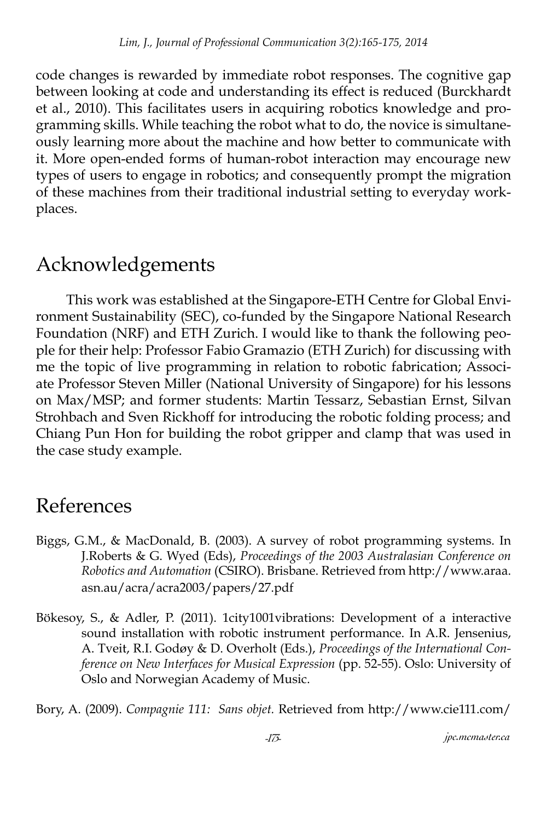code changes is rewarded by immediate robot responses. The cognitive gap between looking at code and understanding its effect is reduced (Burckhardt et al., 2010). This facilitates users in acquiring robotics knowledge and programming skills. While teaching the robot what to do, the novice is simultaneously learning more about the machine and how better to communicate with it. More open-ended forms of human-robot interaction may encourage new types of users to engage in robotics; and consequently prompt the migration of these machines from their traditional industrial setting to everyday workplaces.

### Acknowledgements

This work was established at the Singapore-ETH Centre for Global Environment Sustainability (SEC), co-funded by the Singapore National Research Foundation (NRF) and ETH Zurich. I would like to thank the following people for their help: Professor Fabio Gramazio (ETH Zurich) for discussing with me the topic of live programming in relation to robotic fabrication; Associate Professor Steven Miller (National University of Singapore) for his lessons on Max/MSP; and former students: Martin Tessarz, Sebastian Ernst, Silvan Strohbach and Sven Rickhoff for introducing the robotic folding process; and Chiang Pun Hon for building the robot gripper and clamp that was used in the case study example.

#### References

- Biggs, G.M., & MacDonald, B. (2003). A survey of robot programming systems. In J.Roberts & G. Wyed (Eds), *Proceedings of the 2003 Australasian Conference on Robotics and Automation* (CSIRO). Brisbane. Retrieved from http://www.araa. asn.au/acra/acra2003/papers/27.pdf
- Bökesoy, S., & Adler, P. (2011). 1city1001vibrations: Development of a interactive sound installation with robotic instrument performance. In A.R. Jensenius, A. Tveit, R.I. Godøy & D. Overholt (Eds.), *Proceedings of the International Conference on New Interfaces for Musical Expression* (pp. 52-55). Oslo: University of Oslo and Norwegian Academy of Music.

Bory, A. (2009). *Compagnie 111: Sans objet.* Retrieved from http://www.cie111.com/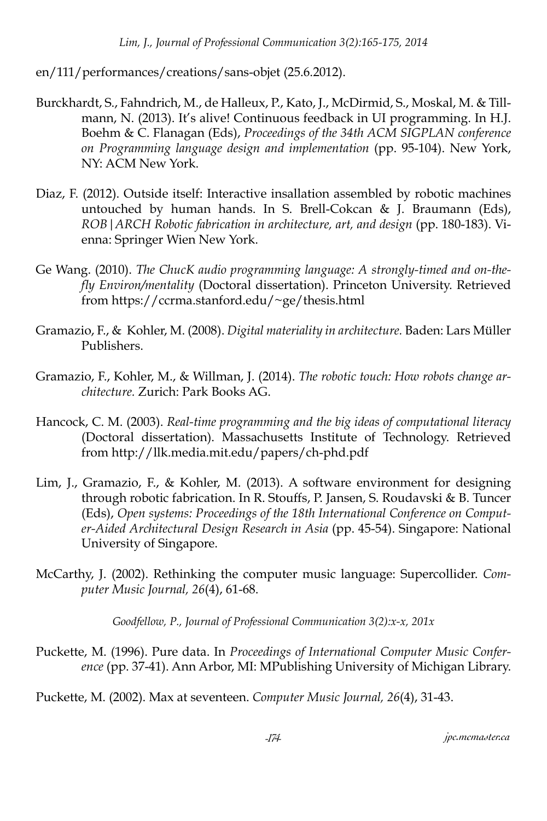en/111/performances/creations/sans-objet (25.6.2012).

- Burckhardt, S., Fahndrich, M., de Halleux, P., Kato, J., McDirmid, S., Moskal, M. & Tillmann, N. (2013). It's alive! Continuous feedback in UI programming. In H.J. Boehm & C. Flanagan (Eds), *Proceedings of the 34th ACM SIGPLAN conference on Programming language design and implementation* (pp. 95-104). New York, NY: ACM New York.
- Diaz, F. (2012). Outside itself: Interactive insallation assembled by robotic machines untouched by human hands. In S. Brell-Cokcan & J. Braumann (Eds), *ROB|ARCH Robotic fabrication in architecture, art, and design* (pp. 180-183). Vienna: Springer Wien New York.
- Ge Wang. (2010). *The ChucK audio programming language: A strongly-timed and on-the- fly Environ/mentality* (Doctoral dissertation). Princeton University. Retrieved from https://ccrma.stanford.edu/~ge/thesis.html
- Gramazio, F., & Kohler, M. (2008). *Digital materiality in architecture.* Baden: Lars Müller Publishers.
- Gramazio, F., Kohler, M., & Willman, J. (2014). *The robotic touch: How robots change architecture.* Zurich: Park Books AG.
- Hancock, C. M. (2003). *Real-time programming and the big ideas of computational literacy*  (Doctoral dissertation). Massachusetts Institute of Technology. Retrieved from http://llk.media.mit.edu/papers/ch-phd.pdf
- Lim, J., Gramazio, F., & Kohler, M. (2013). A software environment for designing through robotic fabrication. In R. Stouffs, P. Jansen, S. Roudavski & B. Tuncer (Eds), *Open systems: Proceedings of the 18th International Conference on Computer-Aided Architectural Design Research in Asia* (pp. 45-54). Singapore: National University of Singapore.
- McCarthy, J. (2002). Rethinking the computer music language: Supercollider. *Computer Music Journal, 26*(4), 61-68.

*Goodfellow, P., Journal of Professional Communication 3(2):x-x, 201x*

Puckette, M. (1996). Pure data. In *Proceedings of International Computer Music Conference* (pp. 37-41). Ann Arbor, MI: MPublishing University of Michigan Library.

Puckette, M. (2002). Max at seventeen. *Computer Music Journal, 26*(4), 31-43.